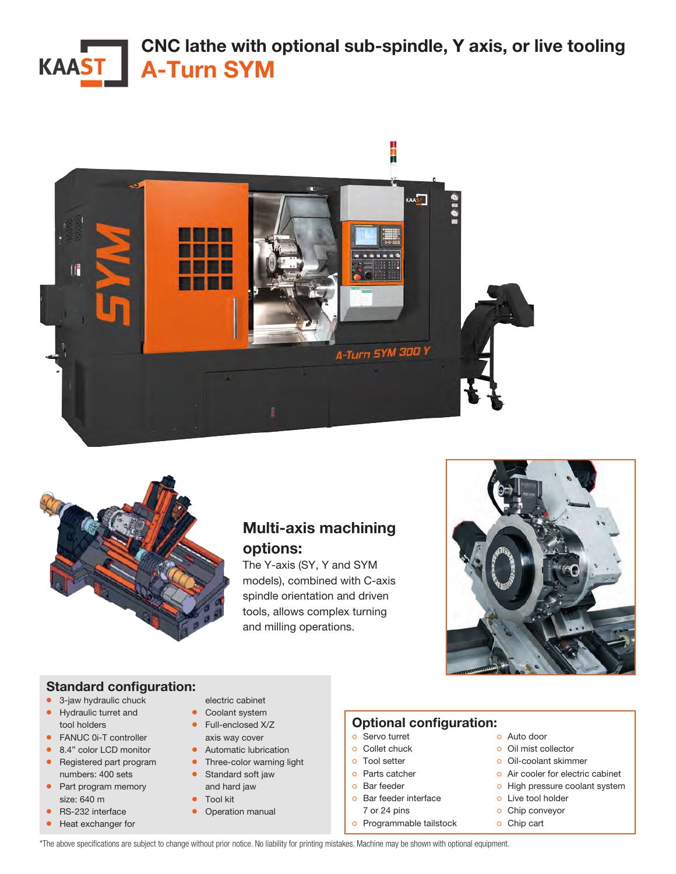# CNC lathe with optional sub-spindle, Y axis, or live tooling KAAST<sup>I</sup> A-Turn SYM





# Multi-axis machining options:

The Y-axis (SY, Y and SYM models), combined with C-axis spindle orientation and driven tools, allows complex turning and milling operations.



### Standard configuration:

- 3-jaw hydraulic chuck
- Hydraulic turret and tool holders
- FANUC 0i-T controller
- 8.4" color LCD monitor
- Registered part program numbers: 400 sets
- Part program memory size: 640 m
- RS-232 interface
- Heat exchanger for
- electric cabinet
- Coolant system
- Full-enclosed X/Z
- axis way cover • Automatic lubrication
- Three-color warning light
- Standard soft jaw
- and hard jaw • Tool kit
- Operation manual
- 

### Optional configuration:

- ੦ Servo turret
- ੦ Collet chuck
- ੦ Tool setter
- ੦ Parts catcher
- ੦ Bar feeder
- ੦ Bar feeder interface
	- 7 or 24 pins
- ੦ Programmable tailstock
- ੦ Auto door
- ੦ Oil mist collector
- ੦ Oil-coolant skimmer
- o Air cooler for electric cabinet
- ੦ High pressure coolant system
- ੦ Live tool holder
- ੦ Chip conveyor
- ੦ Chip cart

\*The above specifications are subject to change without prior notice. No liability for printing mistakes. Machine may be shown with optional equipment.